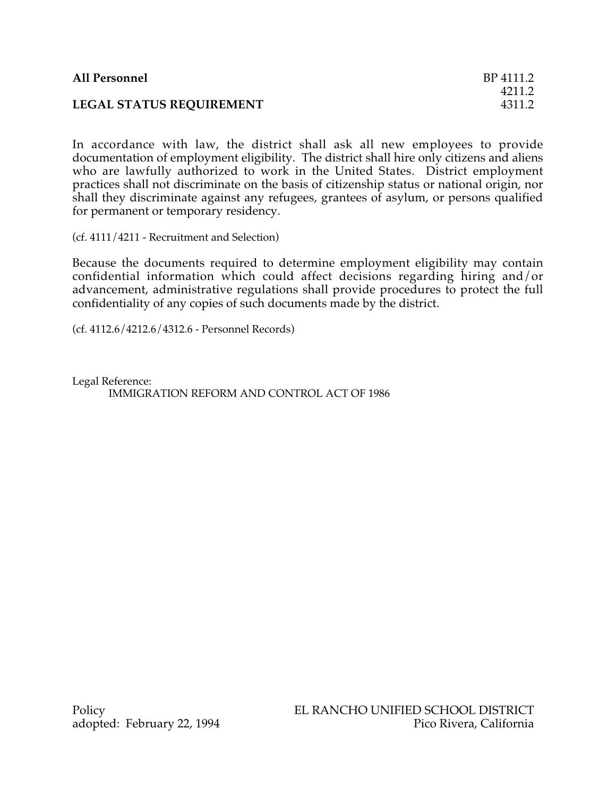| <b>All Personnel</b>            | BP 4111.2 |
|---------------------------------|-----------|
|                                 | 4211.2    |
| <b>LEGAL STATUS REQUIREMENT</b> | 4311.2    |

In accordance with law, the district shall ask all new employees to provide documentation of employment eligibility. The district shall hire only citizens and aliens who are lawfully authorized to work in the United States. District employment practices shall not discriminate on the basis of citizenship status or national origin, nor shall they discriminate against any refugees, grantees of asylum, or persons qualified for permanent or temporary residency.

(cf. 4111/4211 - Recruitment and Selection)

Because the documents required to determine employment eligibility may contain confidential information which could affect decisions regarding hiring and/or advancement, administrative regulations shall provide procedures to protect the full confidentiality of any copies of such documents made by the district.

(cf. 4112.6/4212.6/4312.6 - Personnel Records)

Legal Reference: IMMIGRATION REFORM AND CONTROL ACT OF 1986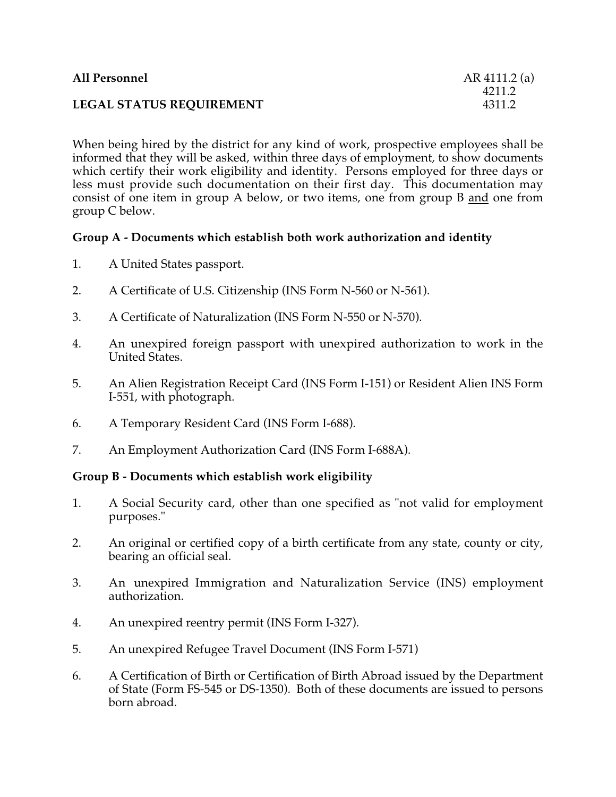| <b>All Personnel</b>            | AR 4111.2 (a) |
|---------------------------------|---------------|
|                                 | 4211.2        |
| <b>LEGAL STATUS REQUIREMENT</b> | 4311.2        |

When being hired by the district for any kind of work, prospective employees shall be informed that they will be asked, within three days of employment, to show documents which certify their work eligibility and identity. Persons employed for three days or less must provide such documentation on their first day. This documentation may consist of one item in group A below, or two items, one from group B and one from group C below.

## **Group A - Documents which establish both work authorization and identity**

- 1. A United States passport.
- 2. A Certificate of U.S. Citizenship (INS Form N-560 or N-561).
- 3. A Certificate of Naturalization (INS Form N-550 or N-570).
- 4. An unexpired foreign passport with unexpired authorization to work in the United States.
- 5. An Alien Registration Receipt Card (INS Form I-151) or Resident Alien INS Form I-551, with photograph.
- 6. A Temporary Resident Card (INS Form I-688).
- 7. An Employment Authorization Card (INS Form I-688A).

## **Group B - Documents which establish work eligibility**

- 1. A Social Security card, other than one specified as "not valid for employment purposes."
- 2. An original or certified copy of a birth certificate from any state, county or city, bearing an official seal.
- 3. An unexpired Immigration and Naturalization Service (INS) employment authorization.
- 4. An unexpired reentry permit (INS Form I-327).
- 5. An unexpired Refugee Travel Document (INS Form I-571)
- 6. A Certification of Birth or Certification of Birth Abroad issued by the Department of State (Form FS-545 or DS-1350). Both of these documents are issued to persons born abroad.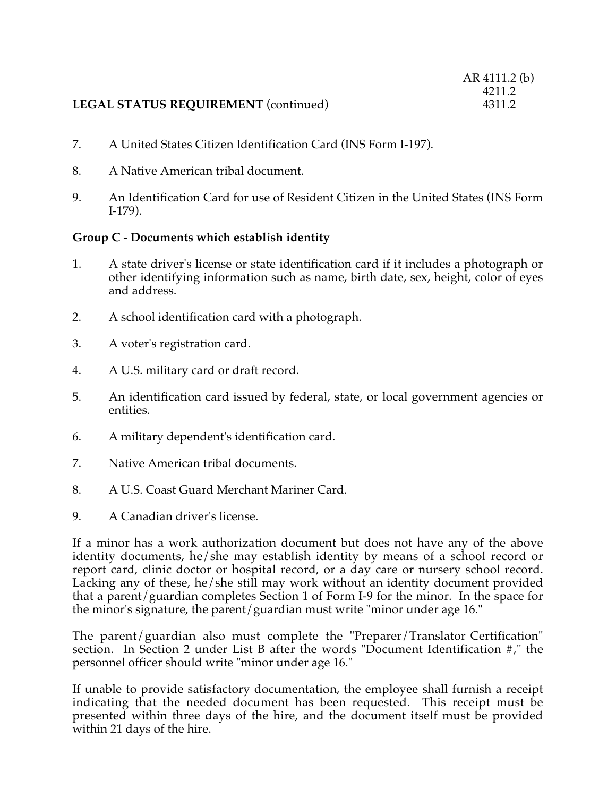## **LEGAL STATUS REQUIREMENT** (continued)

- 7. A United States Citizen Identification Card (INS Form I-197).
- 8. A Native American tribal document.
- 9. An Identification Card for use of Resident Citizen in the United States (INS Form I-179).

## **Group C - Documents which establish identity**

- 1. A state driver's license or state identification card if it includes a photograph or other identifying information such as name, birth date, sex, height, color of eyes and address.
- 2. A school identification card with a photograph.
- 3. A voter's registration card.
- 4. A U.S. military card or draft record.
- 5. An identification card issued by federal, state, or local government agencies or entities.
- 6. A military dependent's identification card.
- 7. Native American tribal documents.
- 8. A U.S. Coast Guard Merchant Mariner Card.
- 9. A Canadian driver's license.

If a minor has a work authorization document but does not have any of the above identity documents, he/she may establish identity by means of a school record or report card, clinic doctor or hospital record, or a day care or nursery school record. Lacking any of these, he/she still may work without an identity document provided that a parent/guardian completes Section 1 of Form I-9 for the minor. In the space for the minor's signature, the parent/guardian must write "minor under age 16."

The parent/guardian also must complete the "Preparer/Translator Certification" section. In Section 2 under List B after the words "Document Identification #," the personnel officer should write "minor under age 16."

If unable to provide satisfactory documentation, the employee shall furnish a receipt indicating that the needed document has been requested. This receipt must be presented within three days of the hire, and the document itself must be provided within 21 days of the hire.